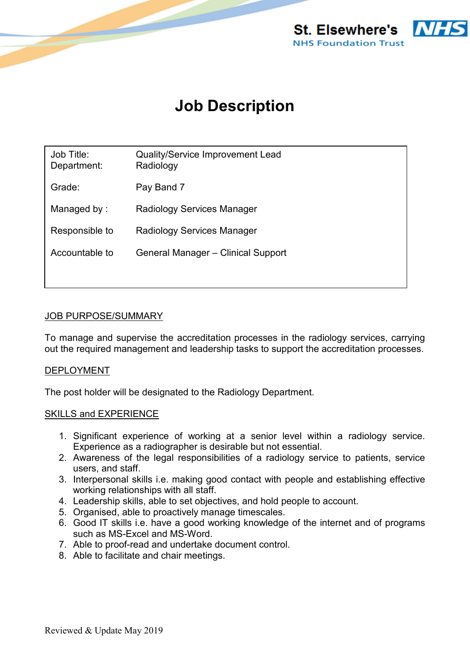

# **Job Description**

| Job Title:<br>Department: | Quality/Service Improvement Lead<br>Radiology |
|---------------------------|-----------------------------------------------|
| Grade:                    | Pay Band 7                                    |
| Managed by:               | Radiology Services Manager                    |
| Responsible to            | Radiology Services Manager                    |
| Accountable to            | General Manager - Clinical Support            |
|                           |                                               |

### JOB PURPOSE/SUMMARY

To manage and supervise the accreditation processes in the radiology services, carrying out the required management and leadership tasks to support the accreditation processes.

#### DEPLOYMENT

The post holder will be designated to the Radiology Department.

#### SKILLS and EXPERIENCE

- 1. Significant experience of working at a senior level within a radiology service. Experience as a radiographer is desirable but not essential.
- 2. Awareness of the legal responsibilities of a radiology service to patients, service users, and staff.
- 3. Interpersonal skills i.e. making good contact with people and establishing effective working relationships with all staff.
- 4. Leadership skills, able to set objectives, and hold people to account.
- 5. Organised, able to proactively manage timescales.
- 6. Good IT skills i.e. have a good working knowledge of the internet and of programs such as MS-Excel and MS-Word.
- 7. Able to proof-read and undertake document control.
- 8. Able to facilitate and chair meetings.